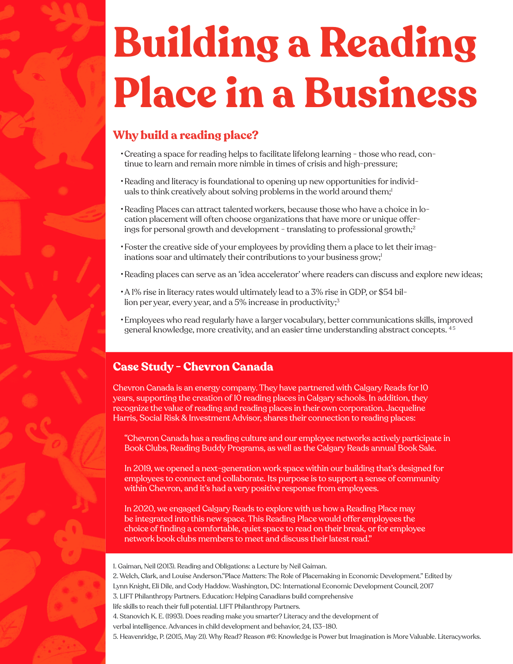# **Building a Reading Place in a Business**

## **Why build a reading place?**

- •Creating a space for reading helps to facilitate lifelong learning those who read, continue to learn and remain more nimble in times of crisis and high-pressure;
- •Reading and literacy is foundational to opening up new opportunities for individuals to think creatively about solving problems in the world around them;<sup>1</sup>
- •Reading Places can attract talented workers, because those who have a choice in location placement will often choose organizations that have more or unique offerings for personal growth and development - translating to professional growth;<sup>2</sup>
- •Foster the creative side of your employees by providing them a place to let their imaginations soar and ultimately their contributions to your business grow;<sup>1</sup>
- •Reading places can serve as an 'idea accelerator' where readers can discuss and explore new ideas;
- •A 1% rise in literacy rates would ultimately lead to a 3% rise in GDP, or \$54 billion per year, every year, and a 5% increase in productivity;<sup>3</sup>
- •Employees who read regularly have a larger vocabulary, better communications skills, improved general knowledge, more creativity, and an easier time understanding abstract concepts. 4 5

### **Case Study - Chevron Canada**

Chevron Canada is an energy company. They have partnered with Calgary Reads for 10 years, supporting the creation of 10 reading places in Calgary schools. In addition, they recognize the value of reading and reading places in their own corporation. Jacqueline Harris, Social Risk & Investment Advisor, shares their connection to reading places:

"Chevron Canada has a reading culture and our employee networks actively participate in Book Clubs, Reading Buddy Programs, as well as the Calgary Reads annual Book Sale.

In 2019, we opened a next-generation work space within our building that's designed for employees to connect and collaborate. Its purpose is to support a sense of community within Chevron, and it's had a very positive response from employees.

In 2020, we engaged Calgary Reads to explore with us how a Reading Place may be integrated into this new space. This Reading Place would offer employees the choice of fnding a comfortable, quiet space to read on their break, or for employee network book clubs members to meet and discuss their latest read."

1. Gaiman, Neil (2013). Reading and Obligations: a Lecture by Neil Gaiman.

2. Welch, Clark, and Louise Anderson."Place Matters: The Role of Placemaking in Economic Development." Edited by Lynn Knight, Eli Dile, and Cody Haddow. Washington, DC: International Economic Development Council, 2017 3. LIFT Philanthropy Partners. Education: Helping Canadians build comprehensive life skills to reach their full potential. LIFT Philanthropy Partners. 4. Stanovich K. E. (1993). Does reading make you smarter? Literacy and the development of verbal intelligence. Advances in child development and behavior, 24, 133–180. 5. Heavenridge, P. (2015, May 21). Why Read? Reason #6: Knowledge is Power but Imagination is More Valuable. Literacyworks.